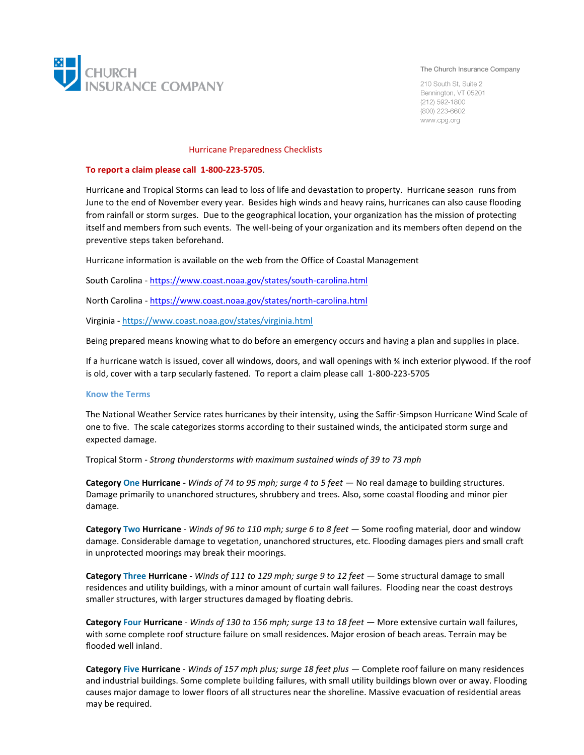

#### The Church Insurance Company

210 South St. Suite 2 Bennington, VT 05201  $(212) 592 - 1800$ (800) 223-6602 www.cpg.org

#### Hurricane Preparedness Checklists

### **To report a claim please call 1-800-223-5705**.

Hurricane and Tropical Storms can lead to loss of life and devastation to property. Hurricane season runs from June to the end of November every year. Besides high winds and heavy rains, hurricanes can also cause flooding from rainfall or storm surges. Due to the geographical location, your organization has the mission of protecting itself and members from such events. The well-being of your organization and its members often depend on the preventive steps taken beforehand.

Hurricane information is available on the web from the Office of Coastal Management

South Carolina - <https://www.coast.noaa.gov/states/south-carolina.html>

North Carolina - <https://www.coast.noaa.gov/states/north-carolina.html>

Virginia - https://www.coast.noaa.gov/states/virginia.html

Being prepared means knowing what to do before an emergency occurs and having a plan and supplies in place.

If a hurricane watch is issued, cover all windows, doors, and wall openings with ¾ inch exterior plywood. If the roof is old, cover with a tarp secularly fastened. To report a claim please call 1-800-223-5705

### **Know the Terms**

The National Weather Service rates hurricanes by their intensity, using the Saffir-Simpson Hurricane Wind Scale of one to five. The scale categorizes storms according to their sustained winds, the anticipated storm surge and expected damage.

Tropical Storm - *Strong thunderstorms with maximum sustained winds of 39 to 73 mph*

**Category One Hurricane** - *Winds of 74 to 95 mph; surge 4 to 5 feet* — No real damage to building structures. Damage primarily to unanchored structures, shrubbery and trees. Also, some coastal flooding and minor pier damage.

**Category Two Hurricane** - *Winds of 96 to 110 mph; surge 6 to 8 feet* — Some roofing material, door and window damage. Considerable damage to vegetation, unanchored structures, etc. Flooding damages piers and small craft in unprotected moorings may break their moorings.

**Category Three Hurricane** - *Winds of 111 to 129 mph; surge 9 to 12 feet* — Some structural damage to small residences and utility buildings, with a minor amount of curtain wall failures. Flooding near the coast destroys smaller structures, with larger structures damaged by floating debris.

**Category Four Hurricane** - *Winds of 130 to 156 mph; surge 13 to 18 feet* — More extensive curtain wall failures, with some complete roof structure failure on small residences. Major erosion of beach areas. Terrain may be flooded well inland.

**Category Five Hurricane** - *Winds of 157 mph plus; surge 18 feet plus* — Complete roof failure on many residences and industrial buildings. Some complete building failures, with small utility buildings blown over or away. Flooding causes major damage to lower floors of all structures near the shoreline. Massive evacuation of residential areas may be required.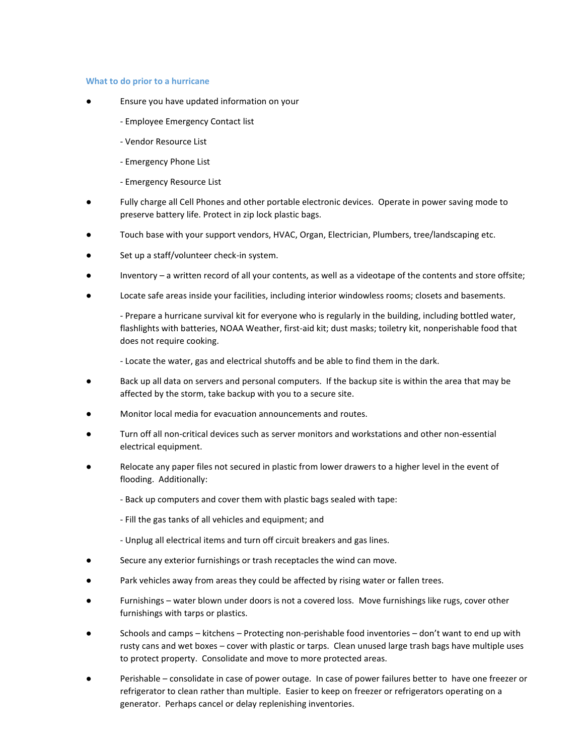### **What to do prior to a hurricane**

- Ensure you have updated information on your
	- Employee Emergency Contact list
	- Vendor Resource List
	- Emergency Phone List
	- Emergency Resource List
- Fully charge all Cell Phones and other portable electronic devices. Operate in power saving mode to preserve battery life. Protect in zip lock plastic bags.
- Touch base with your support vendors, HVAC, Organ, Electrician, Plumbers, tree/landscaping etc.
- Set up a staff/volunteer check-in system.
- Inventory a written record of all your contents, as well as a videotape of the contents and store offsite;
- Locate safe areas inside your facilities, including interior windowless rooms; closets and basements.

- Prepare a hurricane survival kit for everyone who is regularly in the building, including bottled water, flashlights with batteries, NOAA Weather, first-aid kit; dust masks; toiletry kit, nonperishable food that does not require cooking.

- Locate the water, gas and electrical shutoffs and be able to find them in the dark.

- Back up all data on servers and personal computers. If the backup site is within the area that may be affected by the storm, take backup with you to a secure site.
- Monitor local media for evacuation announcements and routes.
- Turn off all non-critical devices such as server monitors and workstations and other non-essential electrical equipment.
- Relocate any paper files not secured in plastic from lower drawers to a higher level in the event of flooding. Additionally:
	- Back up computers and cover them with plastic bags sealed with tape:
	- Fill the gas tanks of all vehicles and equipment; and
	- Unplug all electrical items and turn off circuit breakers and gas lines.
- Secure any exterior furnishings or trash receptacles the wind can move.
- Park vehicles away from areas they could be affected by rising water or fallen trees.
- Furnishings water blown under doors is not a covered loss. Move furnishings like rugs, cover other furnishings with tarps or plastics.
- Schools and camps kitchens Protecting non-perishable food inventories don't want to end up with rusty cans and wet boxes – cover with plastic or tarps. Clean unused large trash bags have multiple uses to protect property. Consolidate and move to more protected areas.
- Perishable consolidate in case of power outage. In case of power failures better to have one freezer or refrigerator to clean rather than multiple. Easier to keep on freezer or refrigerators operating on a generator. Perhaps cancel or delay replenishing inventories.